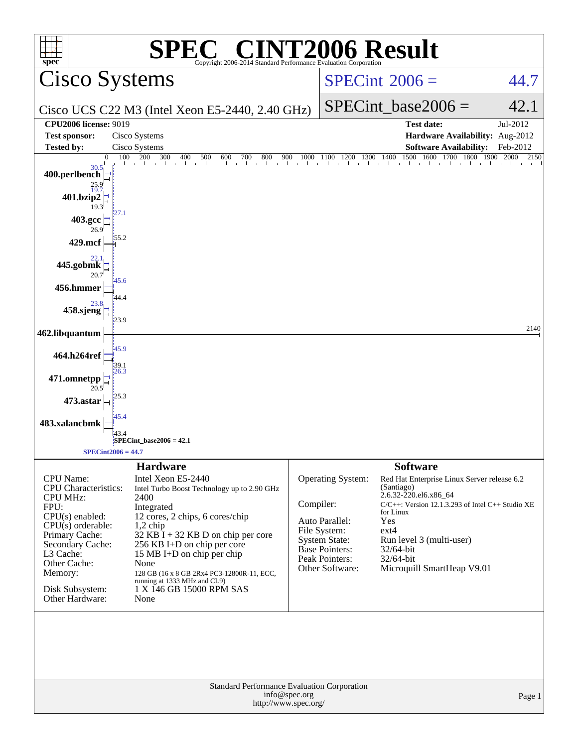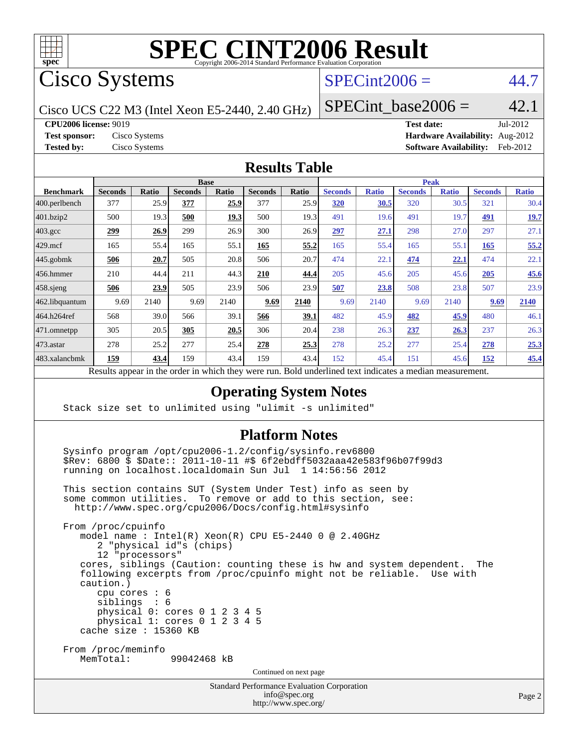

Cisco Systems

## $SPECint2006 = 44.7$  $SPECint2006 = 44.7$

Cisco UCS C22 M3 (Intel Xeon E5-2440, 2.40 GHz)

SPECint base2006 =  $42.1$ 

**[CPU2006 license:](http://www.spec.org/auto/cpu2006/Docs/result-fields.html#CPU2006license)** 9019 **[Test date:](http://www.spec.org/auto/cpu2006/Docs/result-fields.html#Testdate)** Jul-2012

**[Test sponsor:](http://www.spec.org/auto/cpu2006/Docs/result-fields.html#Testsponsor)** Cisco Systems **[Hardware Availability:](http://www.spec.org/auto/cpu2006/Docs/result-fields.html#HardwareAvailability)** Aug-2012 **[Tested by:](http://www.spec.org/auto/cpu2006/Docs/result-fields.html#Testedby)** Cisco Systems **[Software Availability:](http://www.spec.org/auto/cpu2006/Docs/result-fields.html#SoftwareAvailability)** Feb-2012

#### **[Results Table](http://www.spec.org/auto/cpu2006/Docs/result-fields.html#ResultsTable)**

|                    | <b>Base</b>    |              |                |              |                |             |                | <b>Peak</b>  |                |              |                |              |  |
|--------------------|----------------|--------------|----------------|--------------|----------------|-------------|----------------|--------------|----------------|--------------|----------------|--------------|--|
| <b>Benchmark</b>   | <b>Seconds</b> | <b>Ratio</b> | <b>Seconds</b> | <b>Ratio</b> | <b>Seconds</b> | Ratio       | <b>Seconds</b> | <b>Ratio</b> | <b>Seconds</b> | <b>Ratio</b> | <b>Seconds</b> | <b>Ratio</b> |  |
| 400.perlbench      | 377            | 25.9         | 377            | 25.9         | 377            | 25.9        | 320            | 30.5         | 320            | 30.5         | 321            | 30.4         |  |
| 401.bzip2          | 500            | 19.3         | 500            | 19.3         | 500            | 19.3        | 491            | 19.6         | 491            | 19.7         | 491            | <u>19.7</u>  |  |
| $403.\mathrm{gcc}$ | 299            | 26.9         | 299            | 26.9         | 300            | 26.9        | 297            | 27.1         | 298            | 27.0         | 297            | 27.1         |  |
| $429$ .mcf         | 165            | 55.4         | 165            | 55.1         | 165            | 55.2        | 165            | 55.4         | 165            | 55.1         | 165            | 55.2         |  |
| $445$ .gobmk       | 506            | 20.7         | 505            | 20.8         | 506            | 20.7        | 474            | 22.1         | 474            | 22.1         | 474            | 22.1         |  |
| $456.$ hmmer       | 210            | 44.4         | 211            | 44.3         | 210            | 44.4        | 205            | 45.6         | 205            | 45.6         | 205            | 45.6         |  |
| $458$ .sjeng       | 506            | 23.9         | 505            | 23.9         | 506            | 23.9        | 507            | 23.8         | 508            | 23.8         | 507            | 23.9         |  |
| 462.libquantum     | 9.69           | 2140         | 9.69           | 2140         | 9.69           | 2140        | 9.69           | 2140         | 9.69           | 2140         | 9.69           | 2140         |  |
| 464.h264ref        | 568            | 39.0         | 566            | 39.1         | 566            | <u>39.1</u> | 482            | 45.9         | 482            | 45.9         | 480            | 46.1         |  |
| $471$ .omnetpp     | 305            | 20.5         | 305            | 20.5         | 306            | 20.4        | 238            | 26.3         | 237            | 26.3         | 237            | 26.3         |  |
| $473$ . astar      | 278            | 25.2         | 277            | 25.4         | 278            | 25.3        | 278            | 25.2         | 277            | 25.4         | 278            | 25.3         |  |
| 483.xalancbmk      | <u>159</u>     | 43.4         | 159            | 43.4         | 159            | 43.4        | 152            | 45.4         | 151            | 45.6         | 152            | 45.4         |  |

Results appear in the [order in which they were run.](http://www.spec.org/auto/cpu2006/Docs/result-fields.html#RunOrder) Bold underlined text [indicates a median measurement.](http://www.spec.org/auto/cpu2006/Docs/result-fields.html#Median)

#### **[Operating System Notes](http://www.spec.org/auto/cpu2006/Docs/result-fields.html#OperatingSystemNotes)**

Stack size set to unlimited using "ulimit -s unlimited"

#### **[Platform Notes](http://www.spec.org/auto/cpu2006/Docs/result-fields.html#PlatformNotes)**

 Sysinfo program /opt/cpu2006-1.2/config/sysinfo.rev6800 \$Rev: 6800 \$ \$Date:: 2011-10-11 #\$ 6f2ebdff5032aaa42e583f96b07f99d3 running on localhost.localdomain Sun Jul 1 14:56:56 2012

 This section contains SUT (System Under Test) info as seen by some common utilities. To remove or add to this section, see: <http://www.spec.org/cpu2006/Docs/config.html#sysinfo>

 From /proc/cpuinfo model name : Intel(R) Xeon(R) CPU E5-2440 0 @ 2.40GHz 2 "physical id"s (chips) 12 "processors" cores, siblings (Caution: counting these is hw and system dependent. The following excerpts from /proc/cpuinfo might not be reliable. Use with caution.) cpu cores : 6 siblings : 6 physical 0: cores 0 1 2 3 4 5 physical 1: cores 0 1 2 3 4 5 cache size : 15360 KB From /proc/meminfo MemTotal: 99042468 kB Continued on next page

Standard Performance Evaluation Corporation

[info@spec.org](mailto:info@spec.org) <http://www.spec.org/>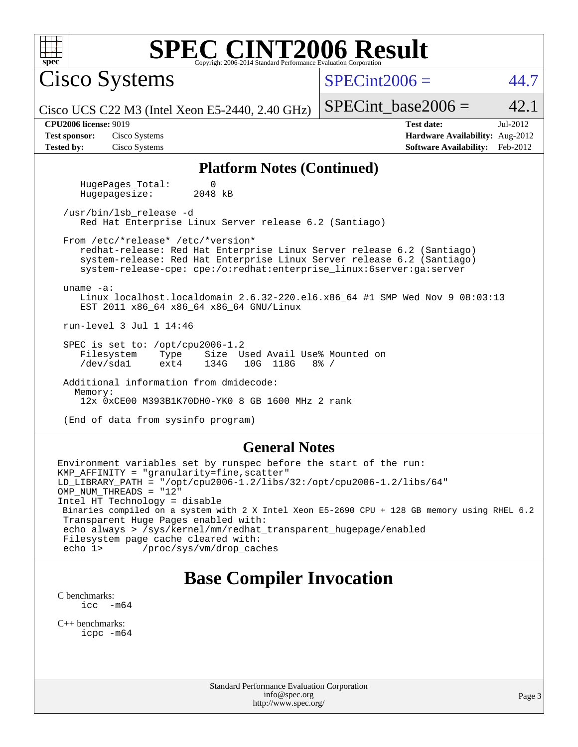| SPEC CINT2006 Evaluation Corporation <b>SPEC</b> Copyright 2006-2014 Standard Performance Evaluation Corporation<br>Spec                                                                                                                                                                                                                                                                                 |                                                                                                               |  |  |  |  |  |
|----------------------------------------------------------------------------------------------------------------------------------------------------------------------------------------------------------------------------------------------------------------------------------------------------------------------------------------------------------------------------------------------------------|---------------------------------------------------------------------------------------------------------------|--|--|--|--|--|
| <b>Cisco Systems</b>                                                                                                                                                                                                                                                                                                                                                                                     | $SPECint2006 =$<br>44.7                                                                                       |  |  |  |  |  |
| Cisco UCS C22 M3 (Intel Xeon E5-2440, 2.40 GHz)                                                                                                                                                                                                                                                                                                                                                          | 42.1<br>$SPECint\_base2006 =$                                                                                 |  |  |  |  |  |
| <b>CPU2006 license: 9019</b><br>Cisco Systems<br><b>Test sponsor:</b><br><b>Tested by:</b><br>Cisco Systems                                                                                                                                                                                                                                                                                              | <b>Test date:</b><br>Jul-2012<br>Hardware Availability: Aug-2012<br><b>Software Availability:</b><br>Feb-2012 |  |  |  |  |  |
| <b>Platform Notes (Continued)</b>                                                                                                                                                                                                                                                                                                                                                                        |                                                                                                               |  |  |  |  |  |
| HugePages_Total:<br>0<br>2048 kB<br>Hugepagesize:                                                                                                                                                                                                                                                                                                                                                        |                                                                                                               |  |  |  |  |  |
| /usr/bin/lsb release -d<br>Red Hat Enterprise Linux Server release 6.2 (Santiago)                                                                                                                                                                                                                                                                                                                        |                                                                                                               |  |  |  |  |  |
| From /etc/*release* /etc/*version*<br>redhat-release: Red Hat Enterprise Linux Server release 6.2 (Santiago)<br>system-release: Red Hat Enterprise Linux Server release 6.2 (Santiago)<br>system-release-cpe: cpe:/o:redhat:enterprise_linux:6server:ga:server<br>uname $-a$ :<br>Linux localhost.localdomain 2.6.32-220.el6.x86_64 #1 SMP Wed Nov 9 08:03:13<br>EST 2011 x86_64 x86_64 x86_64 GNU/Linux |                                                                                                               |  |  |  |  |  |
| run-level 3 Jul 1 14:46                                                                                                                                                                                                                                                                                                                                                                                  |                                                                                                               |  |  |  |  |  |
| SPEC is set to: /opt/cpu2006-1.2<br>Filesystem<br>Size Used Avail Use% Mounted on<br>Type<br>/dev/sda1<br>10G 118G<br>ext4<br>134G<br>$8\frac{6}{6}$ /                                                                                                                                                                                                                                                   |                                                                                                               |  |  |  |  |  |
| Additional information from dmidecode:<br>Memory:<br>12x 0xCE00 M393B1K70DH0-YK0 8 GB 1600 MHz 2 rank                                                                                                                                                                                                                                                                                                    |                                                                                                               |  |  |  |  |  |
| (End of data from sysinfo program)                                                                                                                                                                                                                                                                                                                                                                       |                                                                                                               |  |  |  |  |  |
| <b>General Notes</b>                                                                                                                                                                                                                                                                                                                                                                                     |                                                                                                               |  |  |  |  |  |
| Environment variables set by runspec before the start of the run:<br>KMP_AFFINITY = "granularity=fine, scatter"<br>$LD_LIBRARY_PATH = "/opt/cpu2006-1.2/llbs/32://opt/cpu2006-1.2/libs/64"$<br>OMP_NUM_THREADS = "12"<br>Tetal UT mockealogue disable                                                                                                                                                    |                                                                                                               |  |  |  |  |  |

Intel HT Technology = disable Binaries compiled on a system with 2 X Intel Xeon E5-2690 CPU + 128 GB memory using RHEL 6.2 Transparent Huge Pages enabled with: echo always > /sys/kernel/mm/redhat\_transparent\_hugepage/enabled Filesystem page cache cleared with:<br>echo 1> /proc/sys/vm/drop\_cac

/proc/sys/vm/drop\_caches

## **[Base Compiler Invocation](http://www.spec.org/auto/cpu2006/Docs/result-fields.html#BaseCompilerInvocation)**

[C benchmarks](http://www.spec.org/auto/cpu2006/Docs/result-fields.html#Cbenchmarks):  $\text{icc}$  -m64

[C++ benchmarks:](http://www.spec.org/auto/cpu2006/Docs/result-fields.html#CXXbenchmarks) [icpc -m64](http://www.spec.org/cpu2006/results/res2012q3/cpu2006-20120702-23335.flags.html#user_CXXbase_intel_icpc_64bit_fc66a5337ce925472a5c54ad6a0de310)

> Standard Performance Evaluation Corporation [info@spec.org](mailto:info@spec.org) <http://www.spec.org/>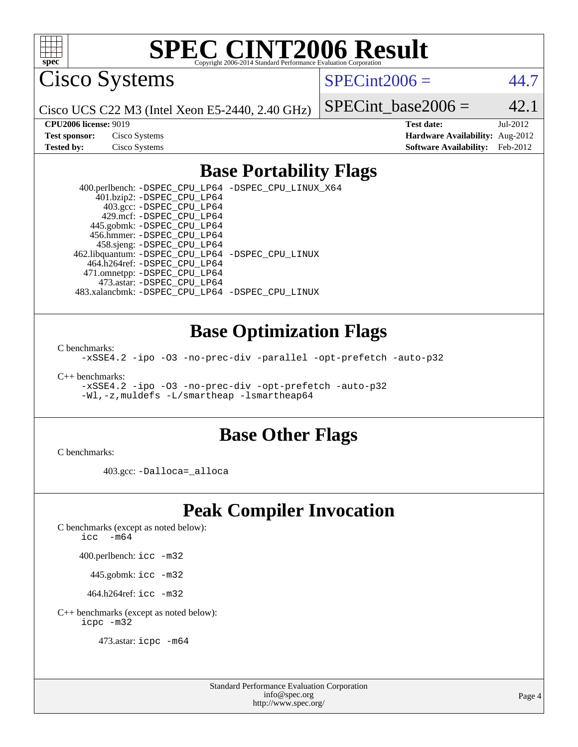

Cisco Systems

 $SPECint2006 = 44.7$  $SPECint2006 = 44.7$ 

Cisco UCS C22 M3 (Intel Xeon E5-2440, 2.40 GHz)

SPECint base2006 =  $42.1$ 

| <b>Test sponsor:</b> | Cisco Systems |
|----------------------|---------------|
| <b>Tested by:</b>    | Cisco Systems |

**[CPU2006 license:](http://www.spec.org/auto/cpu2006/Docs/result-fields.html#CPU2006license)** 9019 **[Test date:](http://www.spec.org/auto/cpu2006/Docs/result-fields.html#Testdate)** Jul-2012 **[Hardware Availability:](http://www.spec.org/auto/cpu2006/Docs/result-fields.html#HardwareAvailability)** Aug-2012 **[Software Availability:](http://www.spec.org/auto/cpu2006/Docs/result-fields.html#SoftwareAvailability)** Feb-2012

### **[Base Portability Flags](http://www.spec.org/auto/cpu2006/Docs/result-fields.html#BasePortabilityFlags)**

 400.perlbench: [-DSPEC\\_CPU\\_LP64](http://www.spec.org/cpu2006/results/res2012q3/cpu2006-20120702-23335.flags.html#b400.perlbench_basePORTABILITY_DSPEC_CPU_LP64) [-DSPEC\\_CPU\\_LINUX\\_X64](http://www.spec.org/cpu2006/results/res2012q3/cpu2006-20120702-23335.flags.html#b400.perlbench_baseCPORTABILITY_DSPEC_CPU_LINUX_X64) 401.bzip2: [-DSPEC\\_CPU\\_LP64](http://www.spec.org/cpu2006/results/res2012q3/cpu2006-20120702-23335.flags.html#suite_basePORTABILITY401_bzip2_DSPEC_CPU_LP64) 403.gcc: [-DSPEC\\_CPU\\_LP64](http://www.spec.org/cpu2006/results/res2012q3/cpu2006-20120702-23335.flags.html#suite_basePORTABILITY403_gcc_DSPEC_CPU_LP64) 429.mcf: [-DSPEC\\_CPU\\_LP64](http://www.spec.org/cpu2006/results/res2012q3/cpu2006-20120702-23335.flags.html#suite_basePORTABILITY429_mcf_DSPEC_CPU_LP64) 445.gobmk: [-DSPEC\\_CPU\\_LP64](http://www.spec.org/cpu2006/results/res2012q3/cpu2006-20120702-23335.flags.html#suite_basePORTABILITY445_gobmk_DSPEC_CPU_LP64) 456.hmmer: [-DSPEC\\_CPU\\_LP64](http://www.spec.org/cpu2006/results/res2012q3/cpu2006-20120702-23335.flags.html#suite_basePORTABILITY456_hmmer_DSPEC_CPU_LP64) 458.sjeng: [-DSPEC\\_CPU\\_LP64](http://www.spec.org/cpu2006/results/res2012q3/cpu2006-20120702-23335.flags.html#suite_basePORTABILITY458_sjeng_DSPEC_CPU_LP64) 462.libquantum: [-DSPEC\\_CPU\\_LP64](http://www.spec.org/cpu2006/results/res2012q3/cpu2006-20120702-23335.flags.html#suite_basePORTABILITY462_libquantum_DSPEC_CPU_LP64) [-DSPEC\\_CPU\\_LINUX](http://www.spec.org/cpu2006/results/res2012q3/cpu2006-20120702-23335.flags.html#b462.libquantum_baseCPORTABILITY_DSPEC_CPU_LINUX) 464.h264ref: [-DSPEC\\_CPU\\_LP64](http://www.spec.org/cpu2006/results/res2012q3/cpu2006-20120702-23335.flags.html#suite_basePORTABILITY464_h264ref_DSPEC_CPU_LP64) 471.omnetpp: [-DSPEC\\_CPU\\_LP64](http://www.spec.org/cpu2006/results/res2012q3/cpu2006-20120702-23335.flags.html#suite_basePORTABILITY471_omnetpp_DSPEC_CPU_LP64) 473.astar: [-DSPEC\\_CPU\\_LP64](http://www.spec.org/cpu2006/results/res2012q3/cpu2006-20120702-23335.flags.html#suite_basePORTABILITY473_astar_DSPEC_CPU_LP64) 483.xalancbmk: [-DSPEC\\_CPU\\_LP64](http://www.spec.org/cpu2006/results/res2012q3/cpu2006-20120702-23335.flags.html#suite_basePORTABILITY483_xalancbmk_DSPEC_CPU_LP64) [-DSPEC\\_CPU\\_LINUX](http://www.spec.org/cpu2006/results/res2012q3/cpu2006-20120702-23335.flags.html#b483.xalancbmk_baseCXXPORTABILITY_DSPEC_CPU_LINUX)

### **[Base Optimization Flags](http://www.spec.org/auto/cpu2006/Docs/result-fields.html#BaseOptimizationFlags)**

[C benchmarks](http://www.spec.org/auto/cpu2006/Docs/result-fields.html#Cbenchmarks):

[-xSSE4.2](http://www.spec.org/cpu2006/results/res2012q3/cpu2006-20120702-23335.flags.html#user_CCbase_f-xSSE42_f91528193cf0b216347adb8b939d4107) [-ipo](http://www.spec.org/cpu2006/results/res2012q3/cpu2006-20120702-23335.flags.html#user_CCbase_f-ipo) [-O3](http://www.spec.org/cpu2006/results/res2012q3/cpu2006-20120702-23335.flags.html#user_CCbase_f-O3) [-no-prec-div](http://www.spec.org/cpu2006/results/res2012q3/cpu2006-20120702-23335.flags.html#user_CCbase_f-no-prec-div) [-parallel](http://www.spec.org/cpu2006/results/res2012q3/cpu2006-20120702-23335.flags.html#user_CCbase_f-parallel) [-opt-prefetch](http://www.spec.org/cpu2006/results/res2012q3/cpu2006-20120702-23335.flags.html#user_CCbase_f-opt-prefetch) [-auto-p32](http://www.spec.org/cpu2006/results/res2012q3/cpu2006-20120702-23335.flags.html#user_CCbase_f-auto-p32)

[C++ benchmarks:](http://www.spec.org/auto/cpu2006/Docs/result-fields.html#CXXbenchmarks)

[-xSSE4.2](http://www.spec.org/cpu2006/results/res2012q3/cpu2006-20120702-23335.flags.html#user_CXXbase_f-xSSE42_f91528193cf0b216347adb8b939d4107) [-ipo](http://www.spec.org/cpu2006/results/res2012q3/cpu2006-20120702-23335.flags.html#user_CXXbase_f-ipo) [-O3](http://www.spec.org/cpu2006/results/res2012q3/cpu2006-20120702-23335.flags.html#user_CXXbase_f-O3) [-no-prec-div](http://www.spec.org/cpu2006/results/res2012q3/cpu2006-20120702-23335.flags.html#user_CXXbase_f-no-prec-div) [-opt-prefetch](http://www.spec.org/cpu2006/results/res2012q3/cpu2006-20120702-23335.flags.html#user_CXXbase_f-opt-prefetch) [-auto-p32](http://www.spec.org/cpu2006/results/res2012q3/cpu2006-20120702-23335.flags.html#user_CXXbase_f-auto-p32) [-Wl,-z,muldefs](http://www.spec.org/cpu2006/results/res2012q3/cpu2006-20120702-23335.flags.html#user_CXXbase_link_force_multiple1_74079c344b956b9658436fd1b6dd3a8a) [-L/smartheap -lsmartheap64](http://www.spec.org/cpu2006/results/res2012q3/cpu2006-20120702-23335.flags.html#user_CXXbase_SmartHeap64_5e654037dadeae1fe403ab4b4466e60b)

#### **[Base Other Flags](http://www.spec.org/auto/cpu2006/Docs/result-fields.html#BaseOtherFlags)**

[C benchmarks](http://www.spec.org/auto/cpu2006/Docs/result-fields.html#Cbenchmarks):

403.gcc: [-Dalloca=\\_alloca](http://www.spec.org/cpu2006/results/res2012q3/cpu2006-20120702-23335.flags.html#b403.gcc_baseEXTRA_CFLAGS_Dalloca_be3056838c12de2578596ca5467af7f3)

### **[Peak Compiler Invocation](http://www.spec.org/auto/cpu2006/Docs/result-fields.html#PeakCompilerInvocation)**

[C benchmarks \(except as noted below\)](http://www.spec.org/auto/cpu2006/Docs/result-fields.html#Cbenchmarksexceptasnotedbelow):

icc  $-m64$ 

400.perlbench: [icc -m32](http://www.spec.org/cpu2006/results/res2012q3/cpu2006-20120702-23335.flags.html#user_peakCCLD400_perlbench_intel_icc_a6a621f8d50482236b970c6ac5f55f93)

445.gobmk: [icc -m32](http://www.spec.org/cpu2006/results/res2012q3/cpu2006-20120702-23335.flags.html#user_peakCCLD445_gobmk_intel_icc_a6a621f8d50482236b970c6ac5f55f93)

464.h264ref: [icc -m32](http://www.spec.org/cpu2006/results/res2012q3/cpu2006-20120702-23335.flags.html#user_peakCCLD464_h264ref_intel_icc_a6a621f8d50482236b970c6ac5f55f93)

[C++ benchmarks \(except as noted below\):](http://www.spec.org/auto/cpu2006/Docs/result-fields.html#CXXbenchmarksexceptasnotedbelow) [icpc -m32](http://www.spec.org/cpu2006/results/res2012q3/cpu2006-20120702-23335.flags.html#user_CXXpeak_intel_icpc_4e5a5ef1a53fd332b3c49e69c3330699)

473.astar: [icpc -m64](http://www.spec.org/cpu2006/results/res2012q3/cpu2006-20120702-23335.flags.html#user_peakCXXLD473_astar_intel_icpc_64bit_fc66a5337ce925472a5c54ad6a0de310)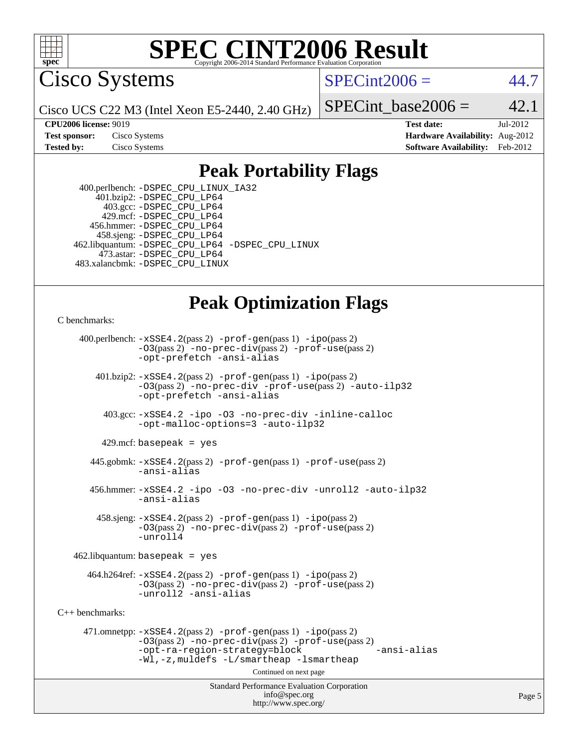

Cisco Systems

 $SPECint2006 = 44.7$  $SPECint2006 = 44.7$ 

Cisco UCS C22 M3 (Intel Xeon E5-2440, 2.40 GHz)

SPECint base2006 =  $42.1$ 

**[CPU2006 license:](http://www.spec.org/auto/cpu2006/Docs/result-fields.html#CPU2006license)** 9019 **[Test date:](http://www.spec.org/auto/cpu2006/Docs/result-fields.html#Testdate)** Jul-2012 **[Test sponsor:](http://www.spec.org/auto/cpu2006/Docs/result-fields.html#Testsponsor)** Cisco Systems **[Hardware Availability:](http://www.spec.org/auto/cpu2006/Docs/result-fields.html#HardwareAvailability)** Aug-2012 **[Tested by:](http://www.spec.org/auto/cpu2006/Docs/result-fields.html#Testedby)** Cisco Systems **[Software Availability:](http://www.spec.org/auto/cpu2006/Docs/result-fields.html#SoftwareAvailability)** Feb-2012

### **[Peak Portability Flags](http://www.spec.org/auto/cpu2006/Docs/result-fields.html#PeakPortabilityFlags)**

 400.perlbench: [-DSPEC\\_CPU\\_LINUX\\_IA32](http://www.spec.org/cpu2006/results/res2012q3/cpu2006-20120702-23335.flags.html#b400.perlbench_peakCPORTABILITY_DSPEC_CPU_LINUX_IA32) 401.bzip2: [-DSPEC\\_CPU\\_LP64](http://www.spec.org/cpu2006/results/res2012q3/cpu2006-20120702-23335.flags.html#suite_peakPORTABILITY401_bzip2_DSPEC_CPU_LP64) 403.gcc: [-DSPEC\\_CPU\\_LP64](http://www.spec.org/cpu2006/results/res2012q3/cpu2006-20120702-23335.flags.html#suite_peakPORTABILITY403_gcc_DSPEC_CPU_LP64) 429.mcf: [-DSPEC\\_CPU\\_LP64](http://www.spec.org/cpu2006/results/res2012q3/cpu2006-20120702-23335.flags.html#suite_peakPORTABILITY429_mcf_DSPEC_CPU_LP64) 456.hmmer: [-DSPEC\\_CPU\\_LP64](http://www.spec.org/cpu2006/results/res2012q3/cpu2006-20120702-23335.flags.html#suite_peakPORTABILITY456_hmmer_DSPEC_CPU_LP64) 458.sjeng: [-DSPEC\\_CPU\\_LP64](http://www.spec.org/cpu2006/results/res2012q3/cpu2006-20120702-23335.flags.html#suite_peakPORTABILITY458_sjeng_DSPEC_CPU_LP64) 462.libquantum: [-DSPEC\\_CPU\\_LP64](http://www.spec.org/cpu2006/results/res2012q3/cpu2006-20120702-23335.flags.html#suite_peakPORTABILITY462_libquantum_DSPEC_CPU_LP64) [-DSPEC\\_CPU\\_LINUX](http://www.spec.org/cpu2006/results/res2012q3/cpu2006-20120702-23335.flags.html#b462.libquantum_peakCPORTABILITY_DSPEC_CPU_LINUX) 473.astar: [-DSPEC\\_CPU\\_LP64](http://www.spec.org/cpu2006/results/res2012q3/cpu2006-20120702-23335.flags.html#suite_peakPORTABILITY473_astar_DSPEC_CPU_LP64) 483.xalancbmk: [-DSPEC\\_CPU\\_LINUX](http://www.spec.org/cpu2006/results/res2012q3/cpu2006-20120702-23335.flags.html#b483.xalancbmk_peakCXXPORTABILITY_DSPEC_CPU_LINUX)

## **[Peak Optimization Flags](http://www.spec.org/auto/cpu2006/Docs/result-fields.html#PeakOptimizationFlags)**

[C benchmarks](http://www.spec.org/auto/cpu2006/Docs/result-fields.html#Cbenchmarks):

 400.perlbench: [-xSSE4.2](http://www.spec.org/cpu2006/results/res2012q3/cpu2006-20120702-23335.flags.html#user_peakPASS2_CFLAGSPASS2_LDCFLAGS400_perlbench_f-xSSE42_f91528193cf0b216347adb8b939d4107)(pass 2) [-prof-gen](http://www.spec.org/cpu2006/results/res2012q3/cpu2006-20120702-23335.flags.html#user_peakPASS1_CFLAGSPASS1_LDCFLAGS400_perlbench_prof_gen_e43856698f6ca7b7e442dfd80e94a8fc)(pass 1) [-ipo](http://www.spec.org/cpu2006/results/res2012q3/cpu2006-20120702-23335.flags.html#user_peakPASS2_CFLAGSPASS2_LDCFLAGS400_perlbench_f-ipo)(pass 2) [-O3](http://www.spec.org/cpu2006/results/res2012q3/cpu2006-20120702-23335.flags.html#user_peakPASS2_CFLAGSPASS2_LDCFLAGS400_perlbench_f-O3)(pass 2) [-no-prec-div](http://www.spec.org/cpu2006/results/res2012q3/cpu2006-20120702-23335.flags.html#user_peakPASS2_CFLAGSPASS2_LDCFLAGS400_perlbench_f-no-prec-div)(pass 2) [-prof-use](http://www.spec.org/cpu2006/results/res2012q3/cpu2006-20120702-23335.flags.html#user_peakPASS2_CFLAGSPASS2_LDCFLAGS400_perlbench_prof_use_bccf7792157ff70d64e32fe3e1250b55)(pass 2) [-opt-prefetch](http://www.spec.org/cpu2006/results/res2012q3/cpu2006-20120702-23335.flags.html#user_peakCOPTIMIZE400_perlbench_f-opt-prefetch) [-ansi-alias](http://www.spec.org/cpu2006/results/res2012q3/cpu2006-20120702-23335.flags.html#user_peakCOPTIMIZE400_perlbench_f-ansi-alias) 401.bzip2: [-xSSE4.2](http://www.spec.org/cpu2006/results/res2012q3/cpu2006-20120702-23335.flags.html#user_peakPASS2_CFLAGSPASS2_LDCFLAGS401_bzip2_f-xSSE42_f91528193cf0b216347adb8b939d4107)(pass 2) [-prof-gen](http://www.spec.org/cpu2006/results/res2012q3/cpu2006-20120702-23335.flags.html#user_peakPASS1_CFLAGSPASS1_LDCFLAGS401_bzip2_prof_gen_e43856698f6ca7b7e442dfd80e94a8fc)(pass 1) [-ipo](http://www.spec.org/cpu2006/results/res2012q3/cpu2006-20120702-23335.flags.html#user_peakPASS2_CFLAGSPASS2_LDCFLAGS401_bzip2_f-ipo)(pass 2) [-O3](http://www.spec.org/cpu2006/results/res2012q3/cpu2006-20120702-23335.flags.html#user_peakPASS2_CFLAGSPASS2_LDCFLAGS401_bzip2_f-O3)(pass 2) [-no-prec-div](http://www.spec.org/cpu2006/results/res2012q3/cpu2006-20120702-23335.flags.html#user_peakCOPTIMIZEPASS2_CFLAGSPASS2_LDCFLAGS401_bzip2_f-no-prec-div) [-prof-use](http://www.spec.org/cpu2006/results/res2012q3/cpu2006-20120702-23335.flags.html#user_peakPASS2_CFLAGSPASS2_LDCFLAGS401_bzip2_prof_use_bccf7792157ff70d64e32fe3e1250b55)(pass 2) [-auto-ilp32](http://www.spec.org/cpu2006/results/res2012q3/cpu2006-20120702-23335.flags.html#user_peakCOPTIMIZE401_bzip2_f-auto-ilp32) [-opt-prefetch](http://www.spec.org/cpu2006/results/res2012q3/cpu2006-20120702-23335.flags.html#user_peakCOPTIMIZE401_bzip2_f-opt-prefetch) [-ansi-alias](http://www.spec.org/cpu2006/results/res2012q3/cpu2006-20120702-23335.flags.html#user_peakCOPTIMIZE401_bzip2_f-ansi-alias) 403.gcc: [-xSSE4.2](http://www.spec.org/cpu2006/results/res2012q3/cpu2006-20120702-23335.flags.html#user_peakCOPTIMIZE403_gcc_f-xSSE42_f91528193cf0b216347adb8b939d4107) [-ipo](http://www.spec.org/cpu2006/results/res2012q3/cpu2006-20120702-23335.flags.html#user_peakCOPTIMIZE403_gcc_f-ipo) [-O3](http://www.spec.org/cpu2006/results/res2012q3/cpu2006-20120702-23335.flags.html#user_peakCOPTIMIZE403_gcc_f-O3) [-no-prec-div](http://www.spec.org/cpu2006/results/res2012q3/cpu2006-20120702-23335.flags.html#user_peakCOPTIMIZE403_gcc_f-no-prec-div) [-inline-calloc](http://www.spec.org/cpu2006/results/res2012q3/cpu2006-20120702-23335.flags.html#user_peakCOPTIMIZE403_gcc_f-inline-calloc) [-opt-malloc-options=3](http://www.spec.org/cpu2006/results/res2012q3/cpu2006-20120702-23335.flags.html#user_peakCOPTIMIZE403_gcc_f-opt-malloc-options_13ab9b803cf986b4ee62f0a5998c2238) [-auto-ilp32](http://www.spec.org/cpu2006/results/res2012q3/cpu2006-20120702-23335.flags.html#user_peakCOPTIMIZE403_gcc_f-auto-ilp32)  $429$ .mcf: basepeak = yes 445.gobmk: [-xSSE4.2](http://www.spec.org/cpu2006/results/res2012q3/cpu2006-20120702-23335.flags.html#user_peakPASS2_CFLAGSPASS2_LDCFLAGS445_gobmk_f-xSSE42_f91528193cf0b216347adb8b939d4107)(pass 2) [-prof-gen](http://www.spec.org/cpu2006/results/res2012q3/cpu2006-20120702-23335.flags.html#user_peakPASS1_CFLAGSPASS1_LDCFLAGS445_gobmk_prof_gen_e43856698f6ca7b7e442dfd80e94a8fc)(pass 1) [-prof-use](http://www.spec.org/cpu2006/results/res2012q3/cpu2006-20120702-23335.flags.html#user_peakPASS2_CFLAGSPASS2_LDCFLAGS445_gobmk_prof_use_bccf7792157ff70d64e32fe3e1250b55)(pass 2) [-ansi-alias](http://www.spec.org/cpu2006/results/res2012q3/cpu2006-20120702-23335.flags.html#user_peakCOPTIMIZE445_gobmk_f-ansi-alias) 456.hmmer: [-xSSE4.2](http://www.spec.org/cpu2006/results/res2012q3/cpu2006-20120702-23335.flags.html#user_peakCOPTIMIZE456_hmmer_f-xSSE42_f91528193cf0b216347adb8b939d4107) [-ipo](http://www.spec.org/cpu2006/results/res2012q3/cpu2006-20120702-23335.flags.html#user_peakCOPTIMIZE456_hmmer_f-ipo) [-O3](http://www.spec.org/cpu2006/results/res2012q3/cpu2006-20120702-23335.flags.html#user_peakCOPTIMIZE456_hmmer_f-O3) [-no-prec-div](http://www.spec.org/cpu2006/results/res2012q3/cpu2006-20120702-23335.flags.html#user_peakCOPTIMIZE456_hmmer_f-no-prec-div) [-unroll2](http://www.spec.org/cpu2006/results/res2012q3/cpu2006-20120702-23335.flags.html#user_peakCOPTIMIZE456_hmmer_f-unroll_784dae83bebfb236979b41d2422d7ec2) [-auto-ilp32](http://www.spec.org/cpu2006/results/res2012q3/cpu2006-20120702-23335.flags.html#user_peakCOPTIMIZE456_hmmer_f-auto-ilp32) [-ansi-alias](http://www.spec.org/cpu2006/results/res2012q3/cpu2006-20120702-23335.flags.html#user_peakCOPTIMIZE456_hmmer_f-ansi-alias) 458.sjeng: [-xSSE4.2](http://www.spec.org/cpu2006/results/res2012q3/cpu2006-20120702-23335.flags.html#user_peakPASS2_CFLAGSPASS2_LDCFLAGS458_sjeng_f-xSSE42_f91528193cf0b216347adb8b939d4107)(pass 2) [-prof-gen](http://www.spec.org/cpu2006/results/res2012q3/cpu2006-20120702-23335.flags.html#user_peakPASS1_CFLAGSPASS1_LDCFLAGS458_sjeng_prof_gen_e43856698f6ca7b7e442dfd80e94a8fc)(pass 1) [-ipo](http://www.spec.org/cpu2006/results/res2012q3/cpu2006-20120702-23335.flags.html#user_peakPASS2_CFLAGSPASS2_LDCFLAGS458_sjeng_f-ipo)(pass 2) [-O3](http://www.spec.org/cpu2006/results/res2012q3/cpu2006-20120702-23335.flags.html#user_peakPASS2_CFLAGSPASS2_LDCFLAGS458_sjeng_f-O3)(pass 2) [-no-prec-div](http://www.spec.org/cpu2006/results/res2012q3/cpu2006-20120702-23335.flags.html#user_peakPASS2_CFLAGSPASS2_LDCFLAGS458_sjeng_f-no-prec-div)(pass 2) [-prof-use](http://www.spec.org/cpu2006/results/res2012q3/cpu2006-20120702-23335.flags.html#user_peakPASS2_CFLAGSPASS2_LDCFLAGS458_sjeng_prof_use_bccf7792157ff70d64e32fe3e1250b55)(pass 2) [-unroll4](http://www.spec.org/cpu2006/results/res2012q3/cpu2006-20120702-23335.flags.html#user_peakCOPTIMIZE458_sjeng_f-unroll_4e5e4ed65b7fd20bdcd365bec371b81f)  $462$ .libquantum: basepeak = yes  $464.h264 \text{ref}: -x \text{SSE4}.2(\text{pass 2}) - \text{prof-qen}(\text{pass 1}) - \text{ipo}(\text{pass 2})$ [-O3](http://www.spec.org/cpu2006/results/res2012q3/cpu2006-20120702-23335.flags.html#user_peakPASS2_CFLAGSPASS2_LDCFLAGS464_h264ref_f-O3)(pass 2) [-no-prec-div](http://www.spec.org/cpu2006/results/res2012q3/cpu2006-20120702-23335.flags.html#user_peakPASS2_CFLAGSPASS2_LDCFLAGS464_h264ref_f-no-prec-div)(pass 2) [-prof-use](http://www.spec.org/cpu2006/results/res2012q3/cpu2006-20120702-23335.flags.html#user_peakPASS2_CFLAGSPASS2_LDCFLAGS464_h264ref_prof_use_bccf7792157ff70d64e32fe3e1250b55)(pass 2) [-unroll2](http://www.spec.org/cpu2006/results/res2012q3/cpu2006-20120702-23335.flags.html#user_peakCOPTIMIZE464_h264ref_f-unroll_784dae83bebfb236979b41d2422d7ec2) [-ansi-alias](http://www.spec.org/cpu2006/results/res2012q3/cpu2006-20120702-23335.flags.html#user_peakCOPTIMIZE464_h264ref_f-ansi-alias) [C++ benchmarks:](http://www.spec.org/auto/cpu2006/Docs/result-fields.html#CXXbenchmarks) 471.omnetpp: [-xSSE4.2](http://www.spec.org/cpu2006/results/res2012q3/cpu2006-20120702-23335.flags.html#user_peakPASS2_CXXFLAGSPASS2_LDCXXFLAGS471_omnetpp_f-xSSE42_f91528193cf0b216347adb8b939d4107)(pass 2) [-prof-gen](http://www.spec.org/cpu2006/results/res2012q3/cpu2006-20120702-23335.flags.html#user_peakPASS1_CXXFLAGSPASS1_LDCXXFLAGS471_omnetpp_prof_gen_e43856698f6ca7b7e442dfd80e94a8fc)(pass 1) [-ipo](http://www.spec.org/cpu2006/results/res2012q3/cpu2006-20120702-23335.flags.html#user_peakPASS2_CXXFLAGSPASS2_LDCXXFLAGS471_omnetpp_f-ipo)(pass 2) [-O3](http://www.spec.org/cpu2006/results/res2012q3/cpu2006-20120702-23335.flags.html#user_peakPASS2_CXXFLAGSPASS2_LDCXXFLAGS471_omnetpp_f-O3)(pass 2) [-no-prec-div](http://www.spec.org/cpu2006/results/res2012q3/cpu2006-20120702-23335.flags.html#user_peakPASS2_CXXFLAGSPASS2_LDCXXFLAGS471_omnetpp_f-no-prec-div)(pass 2) [-prof-use](http://www.spec.org/cpu2006/results/res2012q3/cpu2006-20120702-23335.flags.html#user_peakPASS2_CXXFLAGSPASS2_LDCXXFLAGS471_omnetpp_prof_use_bccf7792157ff70d64e32fe3e1250b55)(pass 2) [-opt-ra-region-strategy=block](http://www.spec.org/cpu2006/results/res2012q3/cpu2006-20120702-23335.flags.html#user_peakCXXOPTIMIZE471_omnetpp_f-opt-ra-region-strategy_5382940c29ea30302d682fc74bfe0147) [-ansi-alias](http://www.spec.org/cpu2006/results/res2012q3/cpu2006-20120702-23335.flags.html#user_peakCXXOPTIMIZE471_omnetpp_f-ansi-alias) [-Wl,-z,muldefs](http://www.spec.org/cpu2006/results/res2012q3/cpu2006-20120702-23335.flags.html#user_peakEXTRA_LDFLAGS471_omnetpp_link_force_multiple1_74079c344b956b9658436fd1b6dd3a8a) [-L/smartheap -lsmartheap](http://www.spec.org/cpu2006/results/res2012q3/cpu2006-20120702-23335.flags.html#user_peakEXTRA_LIBS471_omnetpp_SmartHeap_7c9e394a5779e1a7fec7c221e123830c) Continued on next page

Standard Performance Evaluation Corporation [info@spec.org](mailto:info@spec.org) <http://www.spec.org/>